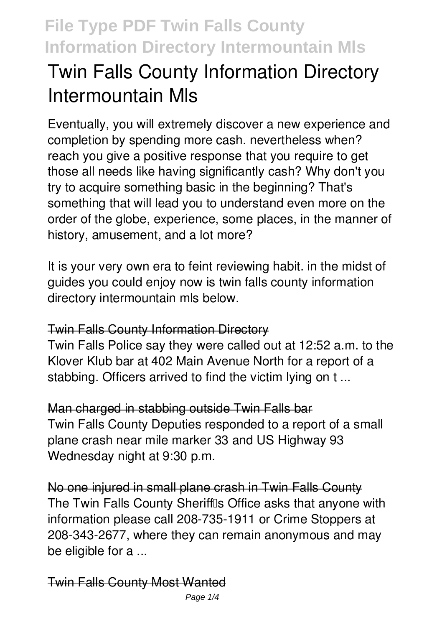# **Twin Falls County Information Directory Intermountain Mls**

Eventually, you will extremely discover a new experience and completion by spending more cash. nevertheless when? reach you give a positive response that you require to get those all needs like having significantly cash? Why don't you try to acquire something basic in the beginning? That's something that will lead you to understand even more on the order of the globe, experience, some places, in the manner of history, amusement, and a lot more?

It is your very own era to feint reviewing habit. in the midst of guides you could enjoy now is **twin falls county information directory intermountain mls** below.

### Twin Falls County Information Directory

Twin Falls Police say they were called out at 12:52 a.m. to the Klover Klub bar at 402 Main Avenue North for a report of a stabbing. Officers arrived to find the victim lying on t ...

Man charged in stabbing outside Twin Falls bar Twin Falls County Deputies responded to a report of a small plane crash near mile marker 33 and US Highway 93 Wednesday night at 9:30 p.m.

No one injured in small plane crash in Twin Falls County The Twin Falls County Sherifflls Office asks that anyone with information please call 208-735-1911 or Crime Stoppers at 208-343-2677, where they can remain anonymous and may be eligible for a ...

### Twin Falls County Most Wanted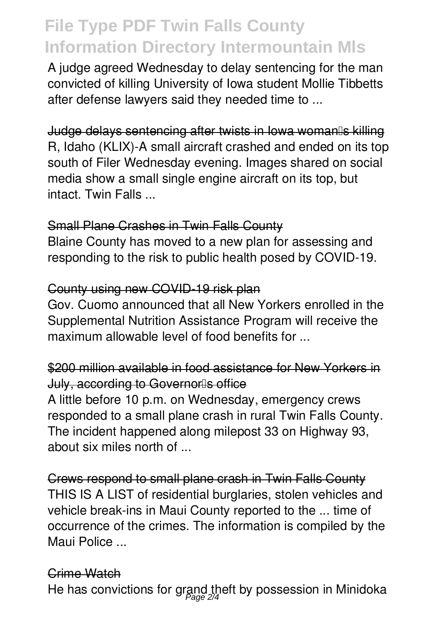A judge agreed Wednesday to delay sentencing for the man convicted of killing University of Iowa student Mollie Tibbetts after defense lawyers said they needed time to ...

Judge delays sentencing after twists in Iowa woman's killing R, Idaho (KLIX)-A small aircraft crashed and ended on its top south of Filer Wednesday evening. Images shared on social media show a small single engine aircraft on its top, but intact. Twin Falls ...

### Small Plane Crashes in Twin Falls County

Blaine County has moved to a new plan for assessing and responding to the risk to public health posed by COVID-19.

#### County using new COVID-19 risk plan

Gov. Cuomo announced that all New Yorkers enrolled in the Supplemental Nutrition Assistance Program will receive the maximum allowable level of food benefits for ...

### \$200 million available in food assistance for New Yorkers in July, according to Governorls office

A little before 10 p.m. on Wednesday, emergency crews responded to a small plane crash in rural Twin Falls County. The incident happened along milepost 33 on Highway 93, about six miles north of ...

Crews respond to small plane crash in Twin Falls County THIS IS A LIST of residential burglaries, stolen vehicles and vehicle break-ins in Maui County reported to the ... time of occurrence of the crimes. The information is compiled by the Maui Police ...

#### Crime Watch

He has convictions for grand theft by possession in Minidoka<br>————————————————————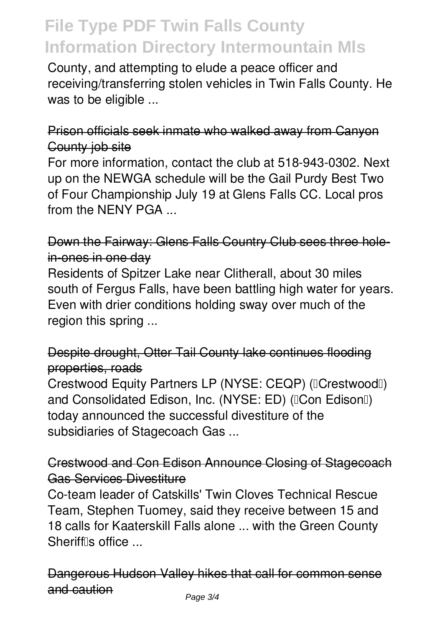County, and attempting to elude a peace officer and receiving/transferring stolen vehicles in Twin Falls County. He was to be eligible ...

### Prison officials seek inmate who walked away from Canyon County job site

For more information, contact the club at 518-943-0302. Next up on the NEWGA schedule will be the Gail Purdy Best Two of Four Championship July 19 at Glens Falls CC. Local pros from the NENY PGA ...

### Down the Fairway: Glens Falls Country Club sees three holein-ones in one day

Residents of Spitzer Lake near Clitherall, about 30 miles south of Fergus Falls, have been battling high water for years. Even with drier conditions holding sway over much of the region this spring ...

### Despite drought, Otter Tail County lake continues flooding properties, roads

Crestwood Equity Partners LP (NYSE: CEQP) (ICrestwoodI) and Consolidated Edison, Inc. (NYSE: ED) (ICon EdisonII) today announced the successful divestiture of the subsidiaries of Stagecoach Gas ...

### Crestwood and Con Edison Announce Closing of Stagecoach Gas Services Divestiture

Co-team leader of Catskills' Twin Cloves Technical Rescue Team, Stephen Tuomey, said they receive between 15 and 18 calls for Kaaterskill Falls alone ... with the Green County Sheriffls office ...

Dangerous Hudson Valley hikes that call for common sense and caution